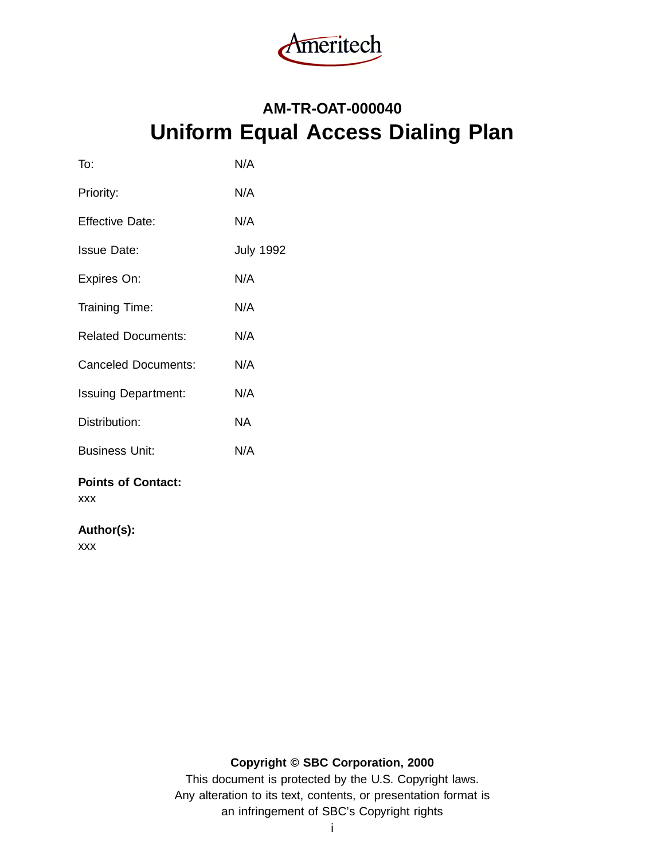

# **AM-TR-OAT-000040 Uniform Equal Access Dialing Plan**

| To:                        | N/A              |
|----------------------------|------------------|
| Priority:                  | N/A              |
| <b>Effective Date:</b>     | N/A              |
| <b>Issue Date:</b>         | <b>July 1992</b> |
| Expires On:                | N/A              |
| Training Time:             | N/A              |
| <b>Related Documents:</b>  | N/A              |
| Canceled Documents:        | N/A              |
| <b>Issuing Department:</b> | N/A              |
| Distribution:              | NA.              |
| <b>Business Unit:</b>      | N/A              |
|                            |                  |

#### **Points of Contact:** xxx

# **Author(s):**

xxx

# **Copyright © SBC Corporation, 2000**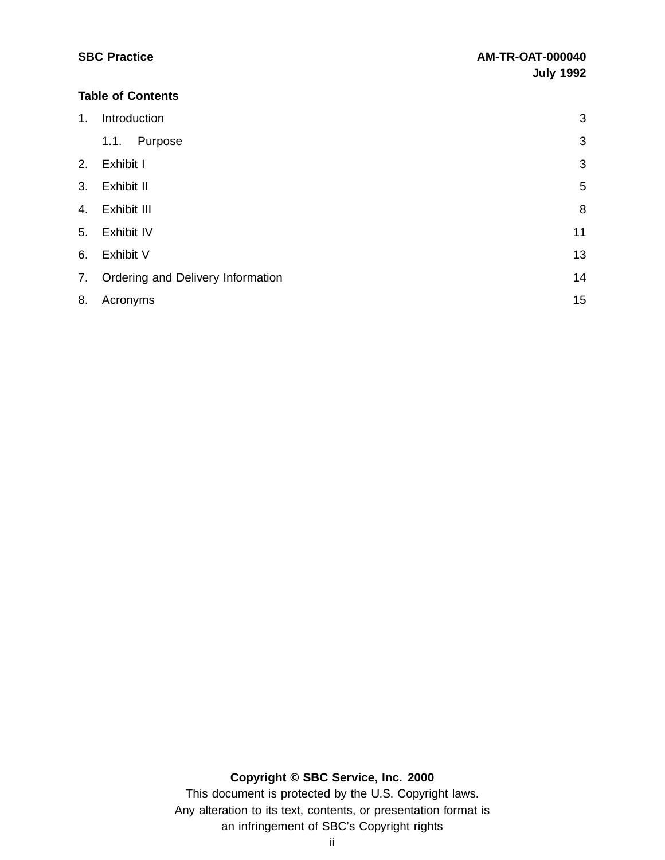| 2. Exhibit I                         | 3  |
|--------------------------------------|----|
| 3. Exhibit II                        | 5  |
| 4. Exhibit III                       | 8  |
| 5. Exhibit IV                        | 11 |
| 6. Exhibit V                         | 13 |
| 7. Ordering and Delivery Information | 14 |

| 8. Acronyms | 15 |
|-------------|----|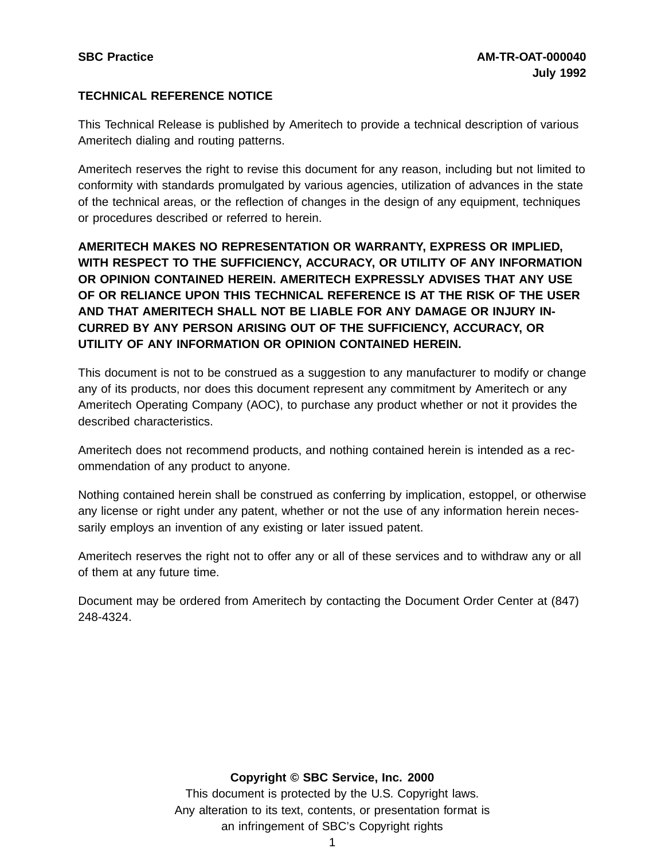## **TECHNICAL REFERENCE NOTICE**

This Technical Release is published by Ameritech to provide a technical description of various Ameritech dialing and routing patterns.

Ameritech reserves the right to revise this document for any reason, including but not limited to conformity with standards promulgated by various agencies, utilization of advances in the state of the technical areas, or the reflection of changes in the design of any equipment, techniques or procedures described or referred to herein.

**AMERITECH MAKES NO REPRESENTATION OR WARRANTY, EXPRESS OR IMPLIED, WITH RESPECT TO THE SUFFICIENCY, ACCURACY, OR UTILITY OF ANY INFORMATION OR OPINION CONTAINED HEREIN. AMERITECH EXPRESSLY ADVISES THAT ANY USE OF OR RELIANCE UPON THIS TECHNICAL REFERENCE IS AT THE RISK OF THE USER AND THAT AMERITECH SHALL NOT BE LIABLE FOR ANY DAMAGE OR INJURY IN-CURRED BY ANY PERSON ARISING OUT OF THE SUFFICIENCY, ACCURACY, OR UTILITY OF ANY INFORMATION OR OPINION CONTAINED HEREIN.**

This document is not to be construed as a suggestion to any manufacturer to modify or change any of its products, nor does this document represent any commitment by Ameritech or any Ameritech Operating Company (AOC), to purchase any product whether or not it provides the described characteristics.

Ameritech does not recommend products, and nothing contained herein is intended as a recommendation of any product to anyone.

Nothing contained herein shall be construed as conferring by implication, estoppel, or otherwise any license or right under any patent, whether or not the use of any information herein necessarily employs an invention of any existing or later issued patent.

Ameritech reserves the right not to offer any or all of these services and to withdraw any or all of them at any future time.

Document may be ordered from Ameritech by contacting the Document Order Center at (847) 248-4324.

#### **Copyright © SBC Service, Inc. 2000**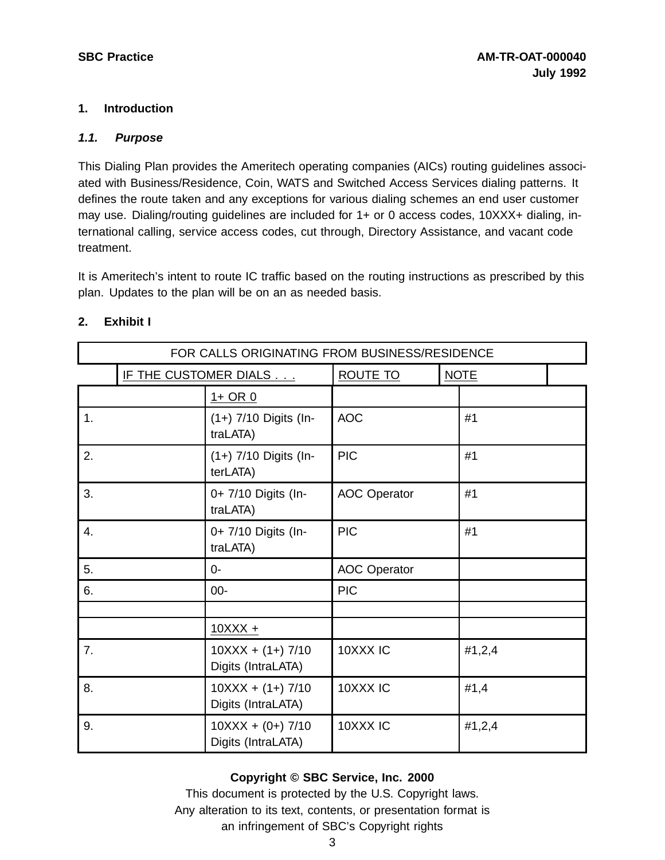#### **1. Introduction**

#### **1.1. Purpose**

This Dialing Plan provides the Ameritech operating companies (AICs) routing guidelines associated with Business/Residence, Coin, WATS and Switched Access Services dialing patterns. It defines the route taken and any exceptions for various dialing schemes an end user customer may use. Dialing/routing guidelines are included for 1+ or 0 access codes, 10XXX+ dialing, international calling, service access codes, cut through, Directory Assistance, and vacant code treatment.

It is Ameritech's intent to route IC traffic based on the routing instructions as prescribed by this plan. Updates to the plan will be on an as needed basis.

|             | FOR CALLS ORIGINATING FROM BUSINESS/RESIDENCE |                                           |                     |  |             |  |  |
|-------------|-----------------------------------------------|-------------------------------------------|---------------------|--|-------------|--|--|
|             |                                               | IF THE CUSTOMER DIALS                     | <b>ROUTE TO</b>     |  | <b>NOTE</b> |  |  |
| $1+$ OR $0$ |                                               |                                           |                     |  |             |  |  |
| 1.          |                                               | (1+) 7/10 Digits (In-<br>traLATA)         | <b>AOC</b>          |  | #1          |  |  |
| 2.          |                                               | (1+) 7/10 Digits (In-<br>terLATA)         | <b>PIC</b>          |  | #1          |  |  |
| 3.          |                                               | 0+ 7/10 Digits (In-<br>traLATA)           | <b>AOC Operator</b> |  | #1          |  |  |
| 4.          |                                               | 0+ 7/10 Digits (In-<br>traLATA)           | <b>PIC</b>          |  | #1          |  |  |
| 5.          |                                               | $0 -$                                     | <b>AOC Operator</b> |  |             |  |  |
| 6.          |                                               | $00 -$                                    | <b>PIC</b>          |  |             |  |  |
|             |                                               |                                           |                     |  |             |  |  |
|             |                                               | $10XXX +$                                 |                     |  |             |  |  |
| 7.          |                                               | $10XXX + (1+) 7/10$<br>Digits (IntraLATA) | 10XXX IC            |  | #1,2,4      |  |  |
| 8.          |                                               | $10XXX + (1+) 7/10$<br>Digits (IntraLATA) | 10XXX IC            |  | #1,4        |  |  |
| 9.          |                                               | $10XXX + (0+) 7/10$<br>Digits (IntraLATA) | 10XXX IC            |  | #1,2,4      |  |  |

# **2. Exhibit I**

# **Copyright © SBC Service, Inc. 2000**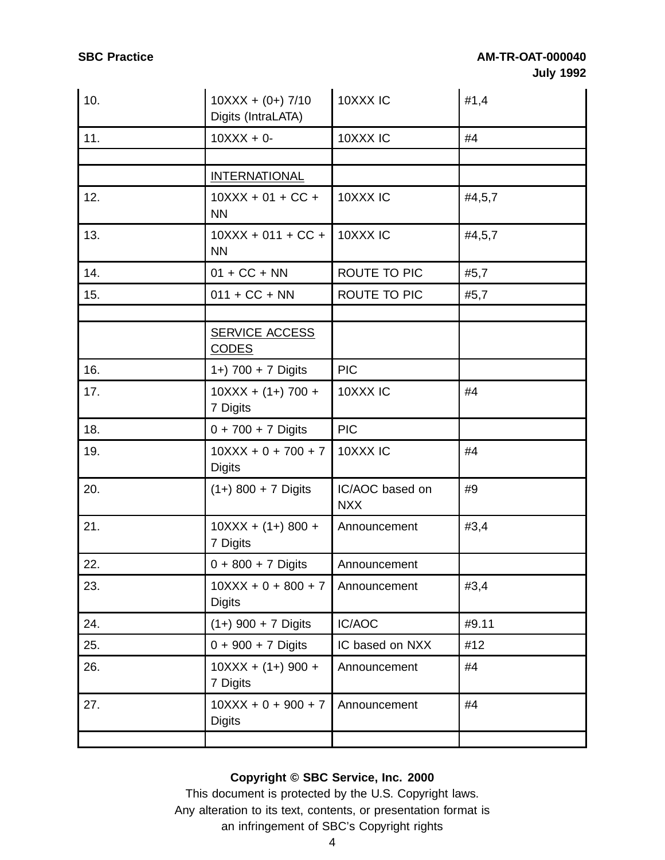| 10. | $10XXX + (0+) 7/10$<br>Digits (IntraLATA) | 10XXX IC                      | #1,4   |
|-----|-------------------------------------------|-------------------------------|--------|
| 11. | $10XXX + 0$                               | 10XXX IC                      | #4     |
|     |                                           |                               |        |
|     | <b>INTERNATIONAL</b>                      |                               |        |
| 12. | $10XXX + 01 + CC +$<br><b>NN</b>          | 10XXX <sub>IC</sub>           | #4,5,7 |
| 13. | $10XXX + 011 + CC +$<br><b>NN</b>         | 10XXX IC                      | #4,5,7 |
| 14. | $01 + CC + NN$                            | ROUTE TO PIC                  | #5,7   |
| 15. | $011 + CC + NN$                           | ROUTE TO PIC                  | #5,7   |
|     | <b>SERVICE ACCESS</b><br><b>CODES</b>     |                               |        |
| 16. | 1+) 700 + 7 Digits                        | <b>PIC</b>                    |        |
| 17. | $10XXX + (1+) 700 +$<br>7 Digits          | 10XXX <sub>IC</sub>           | #4     |
| 18. | $0 + 700 + 7$ Digits                      | <b>PIC</b>                    |        |
| 19. | $10XXX + 0 + 700 + 7$<br><b>Digits</b>    | 10XXX IC                      | #4     |
| 20. | $(1+)$ 800 + 7 Digits                     | IC/AOC based on<br><b>NXX</b> | #9     |
| 21. | $10XXX + (1+) 800 +$<br>7 Digits          | Announcement                  | #3,4   |
| 22. | $0 + 800 + 7$ Digits                      | Announcement                  |        |
| 23. | $10XXX + 0 + 800 + 7$<br><b>Digits</b>    | Announcement                  | #3,4   |
| 24. | $(1+)$ 900 + 7 Digits                     | IC/AOC                        | #9.11  |
| 25. | $0 + 900 + 7$ Digits                      | IC based on NXX               | #12    |
| 26. | $10XXX + (1+) 900 +$<br>7 Digits          | Announcement                  | #4     |
| 27. | $10XXX + 0 + 900 + 7$<br><b>Digits</b>    | Announcement                  | #4     |
|     |                                           |                               |        |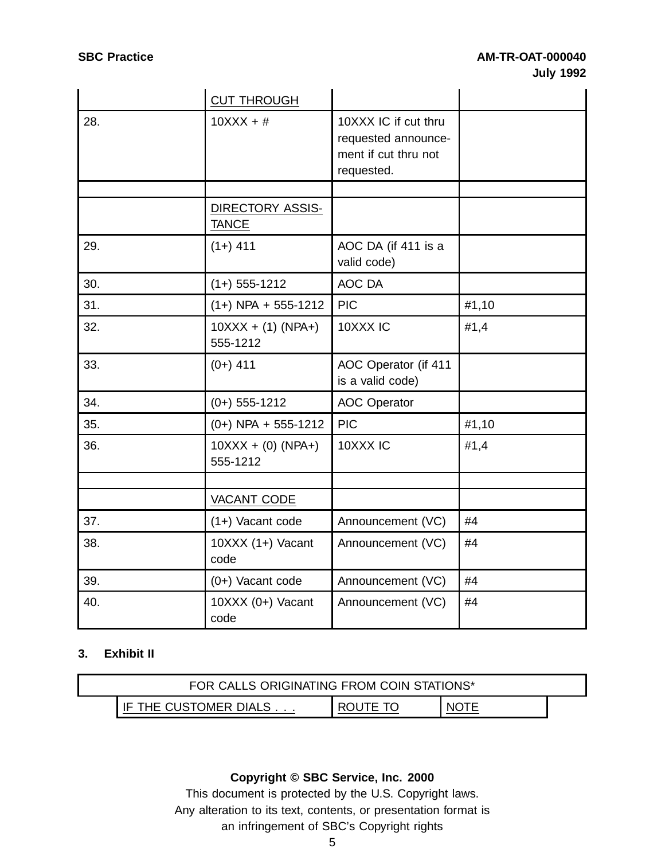|     | <b>CUT THROUGH</b>               |                                                                                   |       |
|-----|----------------------------------|-----------------------------------------------------------------------------------|-------|
| 28. | $10XXX + #$                      | 10XXX IC if cut thru<br>requested announce-<br>ment if cut thru not<br>requested. |       |
|     |                                  |                                                                                   |       |
|     | DIRECTORY ASSIS-<br><b>TANCE</b> |                                                                                   |       |
| 29. | $(1+)$ 411                       | AOC DA (if 411 is a<br>valid code)                                                |       |
| 30. | $(1+)$ 555-1212                  | AOC DA                                                                            |       |
| 31. | $(1+)$ NPA + 555-1212            | <b>PIC</b>                                                                        | #1,10 |
| 32. | $10XXX + (1) (NPA+)$<br>555-1212 | 10XXX IC                                                                          | #1,4  |
| 33. | $(0+)$ 411                       | AOC Operator (if 411<br>is a valid code)                                          |       |
| 34. | $(0+)$ 555-1212                  | <b>AOC</b> Operator                                                               |       |
| 35. | $(0+)$ NPA + 555-1212            | <b>PIC</b>                                                                        | #1,10 |
| 36. | $10XXX + (0) (NPA+)$<br>555-1212 | 10XXX <sub>IC</sub>                                                               | #1,4  |
|     |                                  |                                                                                   |       |
|     | VACANT CODE                      |                                                                                   |       |
| 37. | (1+) Vacant code                 | Announcement (VC)                                                                 | #4    |
| 38. | 10XXX (1+) Vacant<br>code        | Announcement (VC)                                                                 | #4    |
| 39. | $(0+)$ Vacant code               | Announcement (VC)                                                                 | #4    |
| 40. | $10XXX (0+)$ Vacant<br>code      | Announcement (VC)                                                                 | #4    |

## **3. Exhibit II**

| FOR CALLS ORIGINATING FROM COIN STATIONS* |                           |          |             |  |
|-------------------------------------------|---------------------------|----------|-------------|--|
|                                           | THE CUSTOMER DIALS<br>IE. | ROLITE 1 | <b>NOTE</b> |  |

# **Copyright © SBC Service, Inc. 2000**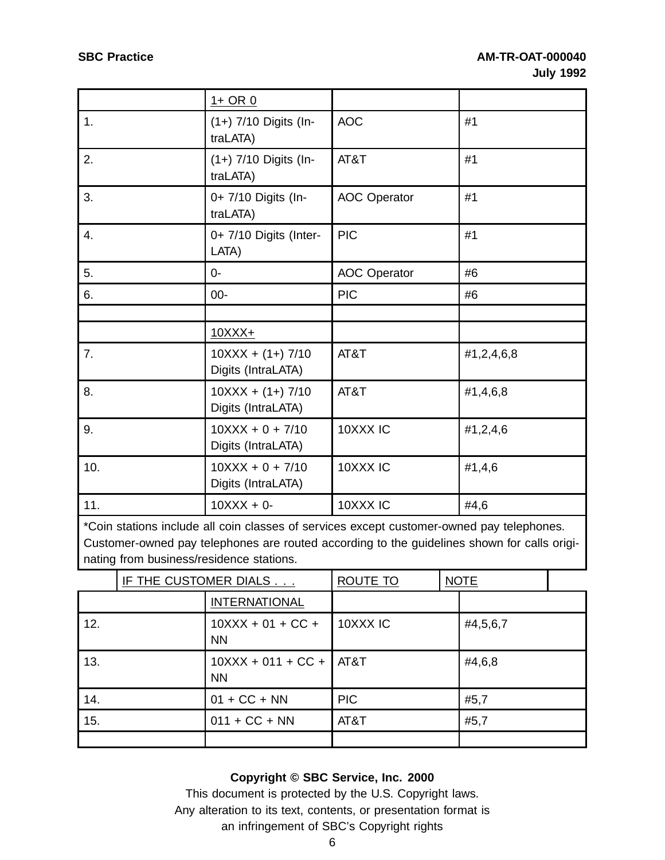|     | $1+$ OR $0$                               |                     |            |
|-----|-------------------------------------------|---------------------|------------|
| 1.  | (1+) 7/10 Digits (In-<br>traLATA)         | <b>AOC</b>          | #1         |
| 2.  | (1+) 7/10 Digits (In-<br>traLATA)         | AT&T                | #1         |
| 3.  | 0+ 7/10 Digits (In-<br>traLATA)           | <b>AOC</b> Operator | #1         |
| 4.  | 0+ 7/10 Digits (Inter-<br>LATA)           | <b>PIC</b>          | #1         |
| 5.  | $0 -$                                     | <b>AOC Operator</b> | #6         |
| 6.  | $00 -$                                    | <b>PIC</b>          | #6         |
|     |                                           |                     |            |
|     | $10$ $XX$ $+$                             |                     |            |
| 7.  | $10XXX + (1+) 7/10$<br>Digits (IntraLATA) | AT&T                | #1,2,4,6,8 |
| 8.  | $10XXX + (1+) 7/10$<br>Digits (IntraLATA) | AT&T                | #1,4,6,8   |
| 9.  | $10XXX + 0 + 7/10$<br>Digits (IntraLATA)  | 10XXX IC            | #1,2,4,6   |
| 10. | $10XXX + 0 + 7/10$<br>Digits (IntraLATA)  | 10XXX IC            | #1,4,6     |
| 11. | $10XXX + 0$                               | 10XXX IC            | #4,6       |

\*Coin stations include all coin classes of services except customer-owned pay telephones. Customer-owned pay telephones are routed according to the guidelines shown for calls originating from business/residence stations.

|     | IF THE CUSTOMER DIALS                  | ROUTE TO            | <b>NOTE</b> |  |
|-----|----------------------------------------|---------------------|-------------|--|
|     | <b>INTERNATIONAL</b>                   |                     |             |  |
| 12. | $10XXX + 01 + CC +$<br><b>NN</b>       | 10XXX <sub>IC</sub> | #4,5,6,7    |  |
| 13. | $10XXX + 011 + CC +$ AT&T<br><b>NN</b> |                     | #4,6,8      |  |
| 14. | $01 + CC + NN$                         | <b>PIC</b>          | #5,7        |  |
| 15. | $011 + CC + NN$                        | AT&T                | #5,7        |  |
|     |                                        |                     |             |  |

#### **Copyright © SBC Service, Inc. 2000**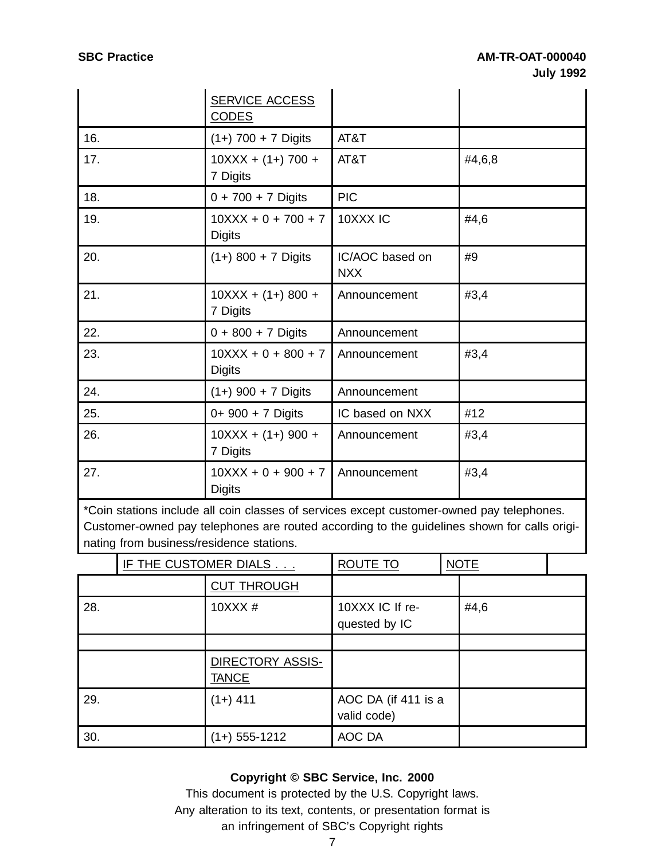|     | <b>SERVICE ACCESS</b><br><b>CODES</b>  |                               |        |
|-----|----------------------------------------|-------------------------------|--------|
| 16. | $(1+)$ 700 + 7 Digits                  | AT&T                          |        |
| 17. | $10XXX + (1+) 700 +$<br>7 Digits       | AT&T                          | #4,6,8 |
| 18. | $0 + 700 + 7$ Digits                   | <b>PIC</b>                    |        |
| 19. | $10XXX + 0 + 700 + 7$<br><b>Digits</b> | 10XXX IC                      | #4,6   |
| 20. | $(1+) 800 + 7$ Digits                  | IC/AOC based on<br><b>NXX</b> | #9     |
| 21. | $10XXX + (1+) 800 +$<br>7 Digits       | Announcement                  | #3,4   |
| 22. | $0 + 800 + 7$ Digits                   | Announcement                  |        |
| 23. | $10XXX + 0 + 800 + 7$<br><b>Digits</b> | Announcement                  | #3,4   |
| 24. | $(1+)$ 900 + 7 Digits                  | Announcement                  |        |
| 25. | $0+900+7$ Digits                       | IC based on NXX               | #12    |
| 26. | $10XXX + (1+) 900 +$<br>7 Digits       | Announcement                  | #3,4   |
| 27. | $10XXX + 0 + 900 + 7$<br><b>Digits</b> | Announcement                  | #3,4   |

\*Coin stations include all coin classes of services except customer-owned pay telephones. Customer-owned pay telephones are routed according to the guidelines shown for calls originating from business/residence stations.

|     | IF THE CUSTOMER DIALS            | ROUTE TO                           | <b>NOTE</b> |  |
|-----|----------------------------------|------------------------------------|-------------|--|
|     | <b>CUT THROUGH</b>               |                                    |             |  |
| 28. | 10XXX #                          | 10XXX IC If re-<br>quested by IC   | #4,6        |  |
|     |                                  |                                    |             |  |
|     | DIRECTORY ASSIS-<br><b>TANCE</b> |                                    |             |  |
| 29. | $(1+)$ 411                       | AOC DA (if 411 is a<br>valid code) |             |  |
| 30. | $(1+)$ 555-1212                  | AOC DA                             |             |  |

#### **Copyright © SBC Service, Inc. 2000**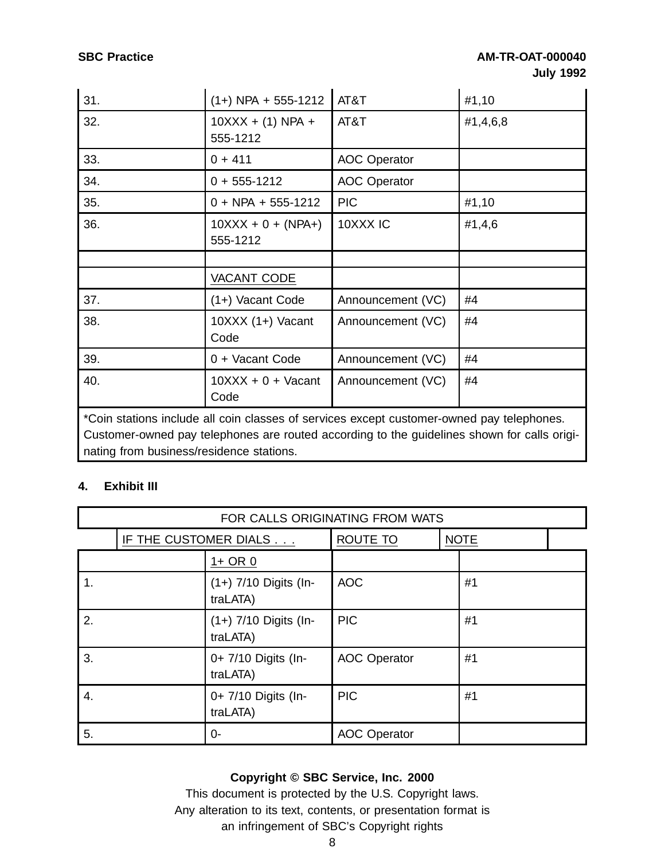| 31.                                                                                       | $(1+)$ NPA + 555-1212            | AT&T                | #1,10    |  |  |
|-------------------------------------------------------------------------------------------|----------------------------------|---------------------|----------|--|--|
| 32.                                                                                       | $10XXX + (1) NPA +$<br>555-1212  | AT&T                | #1,4,6,8 |  |  |
| 33.                                                                                       | $0 + 411$                        | <b>AOC Operator</b> |          |  |  |
| 34.                                                                                       | $0 + 555 - 1212$                 | <b>AOC Operator</b> |          |  |  |
| 35.                                                                                       | $0 + NPA + 555-1212$             | <b>PIC</b>          | #1,10    |  |  |
| 36.                                                                                       | $10XXX + 0 + (NPA+)$<br>555-1212 | 10XXX IC            | #1,4,6   |  |  |
|                                                                                           |                                  |                     |          |  |  |
|                                                                                           | VACANT CODE                      |                     |          |  |  |
| 37.                                                                                       | (1+) Vacant Code                 | Announcement (VC)   | #4       |  |  |
| 38.                                                                                       | $10XXX (1+)$ Vacant<br>Code      | Announcement (VC)   | #4       |  |  |
| 39.                                                                                       | 0 + Vacant Code                  | Announcement (VC)   | #4       |  |  |
| 40.                                                                                       | $10XXX + 0 + Vacant$<br>Code     | Announcement (VC)   | #4       |  |  |
| *Coin stations include all coin classes of services except customer-owned pay telephones. |                                  |                     |          |  |  |

Customer-owned pay telephones are routed according to the guidelines shown for calls originating from business/residence stations.

# **4. Exhibit III**

| FOR CALLS ORIGINATING FROM WATS |                       |                                     |                     |             |  |
|---------------------------------|-----------------------|-------------------------------------|---------------------|-------------|--|
|                                 | IF THE CUSTOMER DIALS |                                     | ROUTE TO            | <b>NOTE</b> |  |
|                                 |                       | $1+$ OR $0$                         |                     |             |  |
| 1.                              |                       | (1+) 7/10 Digits (In-<br>traLATA)   | <b>AOC</b>          | #1          |  |
| 2.                              |                       | $(1+)$ 7/10 Digits (In-<br>traLATA) | <b>PIC</b>          | #1          |  |
| 3.                              |                       | 0+ 7/10 Digits (In-<br>traLATA)     | <b>AOC Operator</b> | #1          |  |
| 4.                              |                       | 0+ 7/10 Digits (In-<br>traLATA)     | <b>PIC</b>          | #1          |  |
| 5.                              |                       | 0-                                  | <b>AOC Operator</b> |             |  |

# **Copyright © SBC Service, Inc. 2000**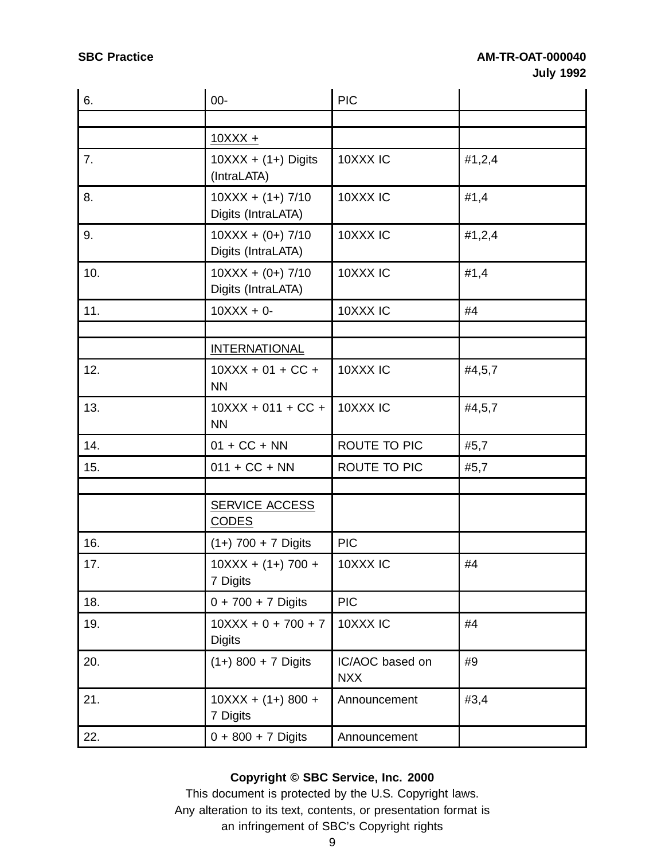| 6.  | $00-$                                     | <b>PIC</b>                    |        |
|-----|-------------------------------------------|-------------------------------|--------|
|     |                                           |                               |        |
|     | $10XXX +$                                 |                               |        |
| 7.  | $10XXX + (1+)$ Digits<br>(IntraLATA)      | 10XXX IC                      | #1,2,4 |
| 8.  | $10XXX + (1+) 7/10$<br>Digits (IntraLATA) | 10XXX IC                      | #1,4   |
| 9.  | $10XXX + (0+) 7/10$<br>Digits (IntraLATA) | 10XXX <sub>IC</sub>           | #1,2,4 |
| 10. | $10XXX + (0+) 7/10$<br>Digits (IntraLATA) | 10XXX IC                      | #1,4   |
| 11. | $10XXX + 0$                               | 10XXX IC                      | #4     |
|     | <b>INTERNATIONAL</b>                      |                               |        |
| 12. | $10XXX + 01 + CC +$<br><b>NN</b>          | 10XXX IC                      | #4,5,7 |
| 13. | $10XXX + 011 + CC +$<br><b>NN</b>         | 10XXX <sub>IC</sub>           | #4,5,7 |
| 14. | $01 + CC + NN$                            | ROUTE TO PIC                  | #5,7   |
| 15. | $011 + CC + NN$                           | ROUTE TO PIC                  | #5,7   |
|     | <b>SERVICE ACCESS</b><br><b>CODES</b>     |                               |        |
| 16. | $(1+)$ 700 + 7 Digits                     | <b>PIC</b>                    |        |
| 17. | $10XXX + (1+) 700 +$<br>7 Digits          | 10XXX IC                      | #4     |
| 18. | $0 + 700 + 7$ Digits                      | <b>PIC</b>                    |        |
| 19. | $10XXX + 0 + 700 + 7$<br><b>Digits</b>    | 10XXX IC                      | #4     |
| 20. | $(1+)$ 800 + 7 Digits                     | IC/AOC based on<br><b>NXX</b> | #9     |
| 21. | $10XXX + (1+) 800 +$<br>7 Digits          | Announcement                  | #3,4   |
| 22. | $0 + 800 + 7$ Digits                      | Announcement                  |        |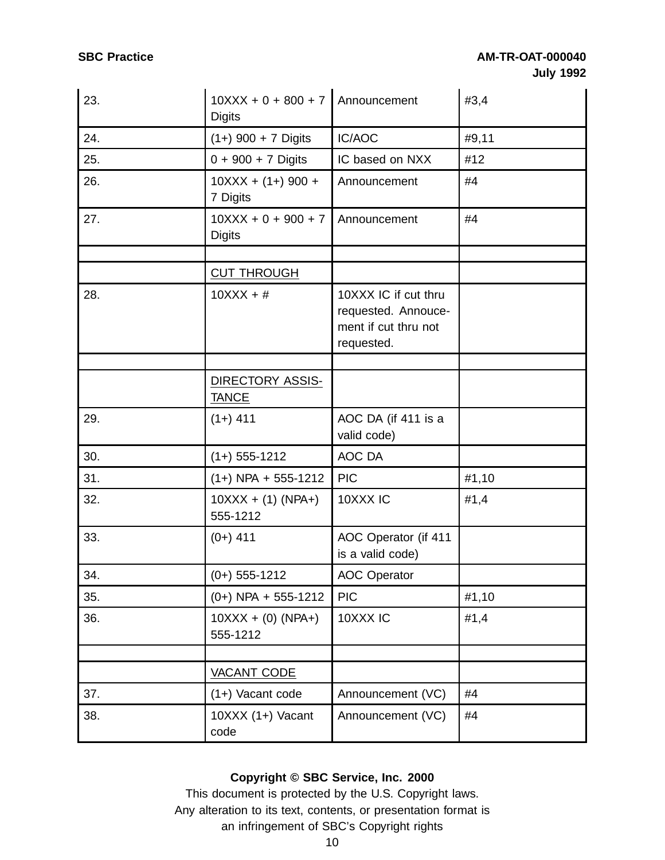| 23. | $10XXX + 0 + 800 + 7$ Announcement<br><b>Digits</b> |                                                                                   | #3,4  |
|-----|-----------------------------------------------------|-----------------------------------------------------------------------------------|-------|
| 24. | $(1+)$ 900 + 7 Digits                               | IC/AOC                                                                            | #9,11 |
| 25. | $0 + 900 + 7$ Digits                                | IC based on NXX                                                                   | #12   |
| 26. | $10XXX + (1+) 900 +$<br>7 Digits                    | Announcement                                                                      | #4    |
| 27. | $10XXX + 0 + 900 + 7$<br><b>Digits</b>              | Announcement                                                                      | #4    |
|     | <b>CUT THROUGH</b>                                  |                                                                                   |       |
| 28. | $10XXX + #$                                         | 10XXX IC if cut thru<br>requested. Annouce-<br>ment if cut thru not<br>requested. |       |
|     |                                                     |                                                                                   |       |
|     | DIRECTORY ASSIS-<br><b>TANCE</b>                    |                                                                                   |       |
| 29. | $(1+)$ 411                                          | AOC DA (if 411 is a<br>valid code)                                                |       |
| 30. | $(1+)$ 555-1212                                     | AOC DA                                                                            |       |
| 31. | $(1+)$ NPA + 555-1212                               | <b>PIC</b>                                                                        | #1,10 |
| 32. | $10XXX + (1) (NPA+)$<br>555-1212                    | 10XXX IC                                                                          | #1,4  |
| 33. | $(0+)$ 411                                          | AOC Operator (if 411<br>is a valid code)                                          |       |
| 34. | $(0+)$ 555-1212                                     | <b>AOC Operator</b>                                                               |       |
| 35. | $(0+)$ NPA + 555-1212                               | <b>PIC</b>                                                                        | #1,10 |
| 36. | $10XXX + (0) (NPA+)$<br>555-1212                    | 10XXX IC                                                                          | #1,4  |
|     |                                                     |                                                                                   |       |
|     | VACANT CODE                                         |                                                                                   |       |
| 37. | $(1+)$ Vacant code                                  | Announcement (VC)                                                                 | #4    |
| 38. | $10XXX (1+)$ Vacant<br>code                         | Announcement (VC)                                                                 | #4    |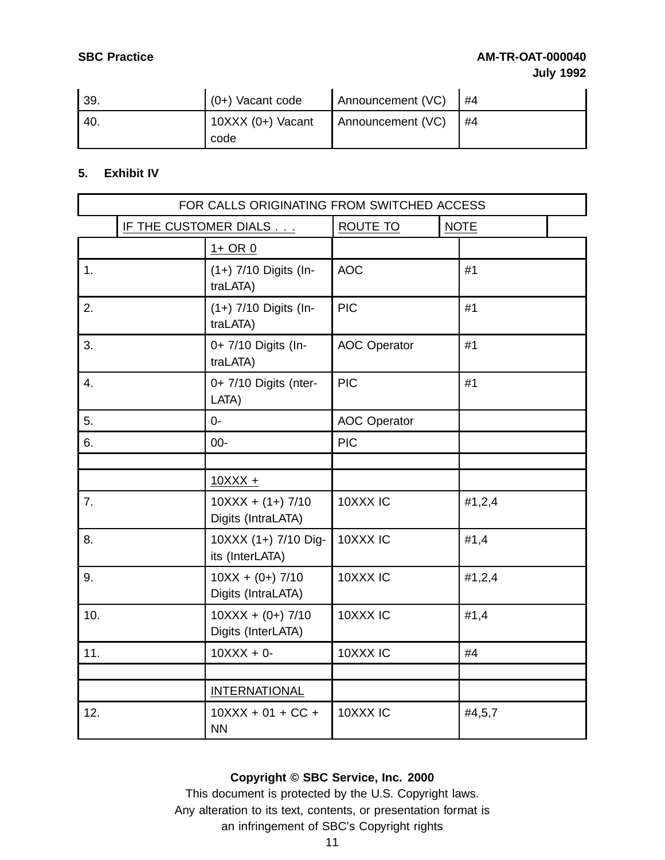# **SBC Practice AM-TR-OAT-000040 July 1992**

| 39.  | $(0+)$ Vacant code          | Announcement (VC) | #4 |
|------|-----------------------------|-------------------|----|
| -40. | $10XXX (0+)$ Vacant<br>code | Announcement (VC) | #4 |

## **5. Exhibit IV**

|     | FOR CALLS ORIGINATING FROM SWITCHED ACCESS |                                           |                     |             |  |
|-----|--------------------------------------------|-------------------------------------------|---------------------|-------------|--|
|     |                                            | IF THE CUSTOMER DIALS                     | ROUTE TO            | <b>NOTE</b> |  |
|     |                                            | $1+$ OR $0$                               |                     |             |  |
| 1.  |                                            | (1+) 7/10 Digits (In-<br>traLATA)         | <b>AOC</b>          | #1          |  |
| 2.  |                                            | (1+) 7/10 Digits (In-<br>traLATA)         | <b>PIC</b>          | #1          |  |
| 3.  |                                            | 0+ 7/10 Digits (In-<br>traLATA)           | <b>AOC Operator</b> | #1          |  |
| 4.  |                                            | 0+ 7/10 Digits (nter-<br>LATA)            | <b>PIC</b>          | #1          |  |
| 5.  |                                            | $0 -$                                     | <b>AOC Operator</b> |             |  |
| 6.  |                                            | $00-$                                     | <b>PIC</b>          |             |  |
|     |                                            |                                           |                     |             |  |
|     |                                            | $10XXX +$                                 |                     |             |  |
| 7.  |                                            | $10XXX + (1+) 7/10$<br>Digits (IntraLATA) | 10XXX IC            | #1,2,4      |  |
| 8.  |                                            | 10XXX (1+) 7/10 Dig-<br>its (InterLATA)   | 10XXX IC            | #1,4        |  |
| 9.  |                                            | $10XX + (0+) 7/10$<br>Digits (IntraLATA)  | 10XXX IC            | #1,2,4      |  |
| 10. |                                            | $10XXX + (0+) 7/10$<br>Digits (InterLATA) | 10XXX IC            | #1,4        |  |
| 11. |                                            | $10XXX + 0$                               | 10XXX IC            | #4          |  |
|     |                                            |                                           |                     |             |  |
|     |                                            | <b>INTERNATIONAL</b>                      |                     |             |  |
| 12. |                                            | $10XXX + 01 + CC +$<br><b>NN</b>          | 10XXX IC            | #4,5,7      |  |

## **Copyright © SBC Service, Inc. 2000**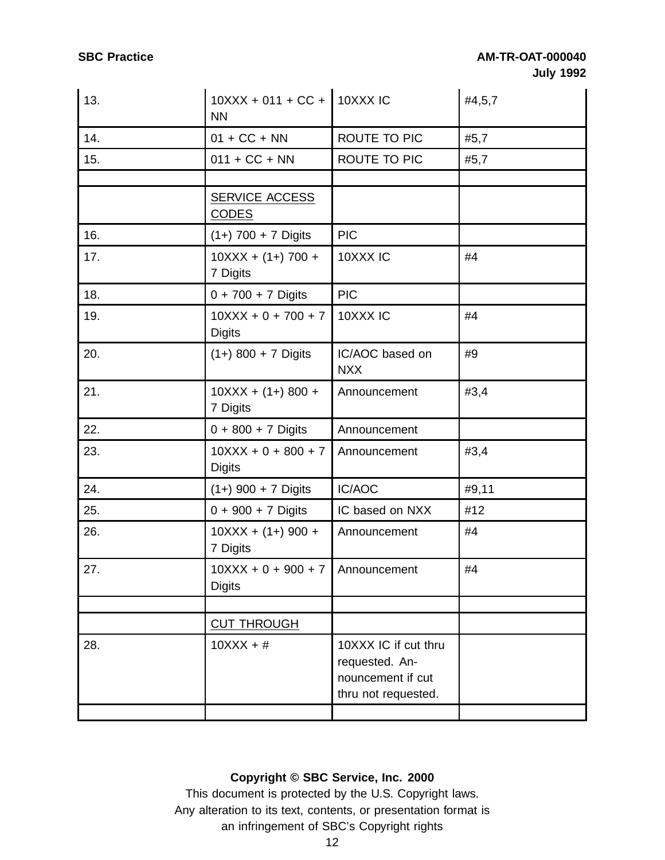| 13. | 10XXX + 011 + CC + 10XXX IC<br><b>NN</b>            |                                                                                    | #4,5,7 |
|-----|-----------------------------------------------------|------------------------------------------------------------------------------------|--------|
| 14. | $01 + CC + NN$                                      | ROUTE TO PIC                                                                       | #5,7   |
| 15. | $011 + CC + NN$                                     | ROUTE TO PIC                                                                       | #5,7   |
|     |                                                     |                                                                                    |        |
|     | SERVICE ACCESS<br><b>CODES</b>                      |                                                                                    |        |
| 16. | $(1+)$ 700 + 7 Digits                               | <b>PIC</b>                                                                         |        |
| 17. | $10XXX + (1+) 700 +$<br>7 Digits                    | 10XXX IC                                                                           | #4     |
| 18. | $0 + 700 + 7$ Digits                                | <b>PIC</b>                                                                         |        |
| 19. | $10XXX + 0 + 700 + 7$<br><b>Digits</b>              | 10XXX IC                                                                           | #4     |
| 20. | $(1+)$ 800 + 7 Digits                               | IC/AOC based on<br><b>NXX</b>                                                      | #9     |
| 21. | $10XXX + (1+) 800 +$<br>7 Digits                    | Announcement                                                                       | #3,4   |
| 22. | $0 + 800 + 7$ Digits                                | Announcement                                                                       |        |
| 23. | $10XXX + 0 + 800 + 7$<br><b>Digits</b>              | Announcement                                                                       | #3,4   |
| 24. | $(1+)$ 900 + 7 Digits                               | IC/AOC                                                                             | #9,11  |
| 25. | $0 + 900 + 7$ Digits                                | IC based on NXX                                                                    | #12    |
| 26. | $10XXX + (1+) 900 +$<br>7 Digits                    | Announcement                                                                       | #4     |
| 27. | $10XXX + 0 + 900 + 7$ Announcement<br><b>Digits</b> |                                                                                    | #4     |
|     |                                                     |                                                                                    |        |
|     | <b>CUT THROUGH</b>                                  |                                                                                    |        |
| 28. | $10XXX + #$                                         | 10XXX IC if cut thru<br>requested. An-<br>nouncement if cut<br>thru not requested. |        |
|     |                                                     |                                                                                    |        |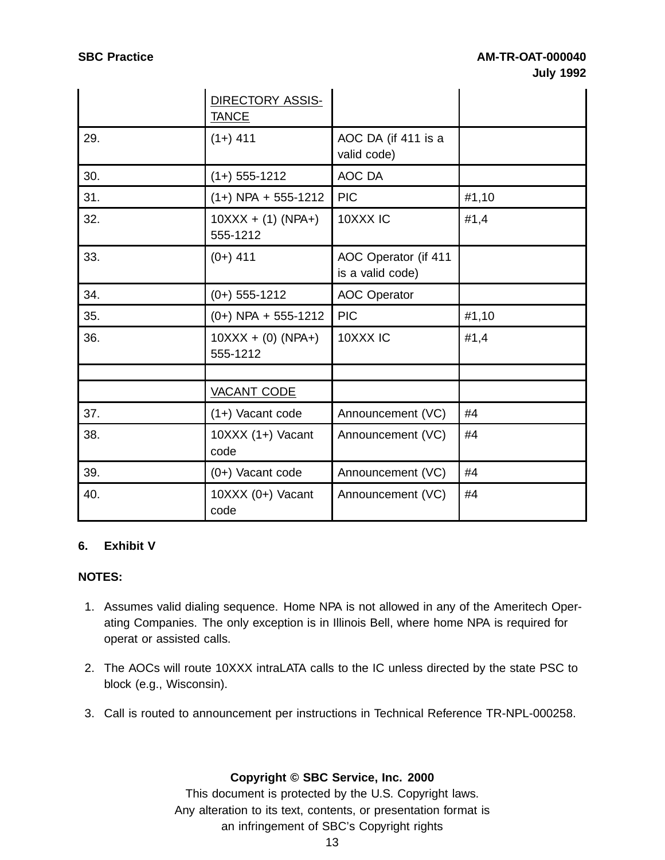|     | DIRECTORY ASSIS-<br><b>TANCE</b> |                                          |       |
|-----|----------------------------------|------------------------------------------|-------|
| 29. | $(1+)$ 411                       | AOC DA (if 411 is a<br>valid code)       |       |
| 30. | $(1+)$ 555-1212                  | AOC DA                                   |       |
| 31. | $(1+)$ NPA + 555-1212            | <b>PIC</b>                               | #1,10 |
| 32. | $10XXX + (1) (NPA+)$<br>555-1212 | 10XXX IC                                 | #1,4  |
| 33. | $(0+)$ 411                       | AOC Operator (if 411<br>is a valid code) |       |
| 34. | $(0+)$ 555-1212                  | <b>AOC Operator</b>                      |       |
| 35. | $(0+)$ NPA + 555-1212            | <b>PIC</b>                               | #1,10 |
| 36. | $10XXX + (0) (NPA+)$<br>555-1212 | 10XXX IC                                 | #1,4  |
|     |                                  |                                          |       |
|     | <b>VACANT CODE</b>               |                                          |       |
| 37. | $(1+)$ Vacant code               | Announcement (VC)                        | #4    |
| 38. | $10XXX (1+)$ Vacant<br>code      | Announcement (VC)                        | #4    |
| 39. | $(0+)$ Vacant code               | Announcement (VC)                        | #4    |
| 40. | $10XXX (0+)$ Vacant<br>code      | Announcement (VC)                        | #4    |

# **6. Exhibit V**

#### **NOTES:**

- 1. Assumes valid dialing sequence. Home NPA is not allowed in any of the Ameritech Operating Companies. The only exception is in Illinois Bell, where home NPA is required for operat or assisted calls.
- 2. The AOCs will route 10XXX intraLATA calls to the IC unless directed by the state PSC to block (e.g., Wisconsin).
- 3. Call is routed to announcement per instructions in Technical Reference TR-NPL-000258.

#### **Copyright © SBC Service, Inc. 2000**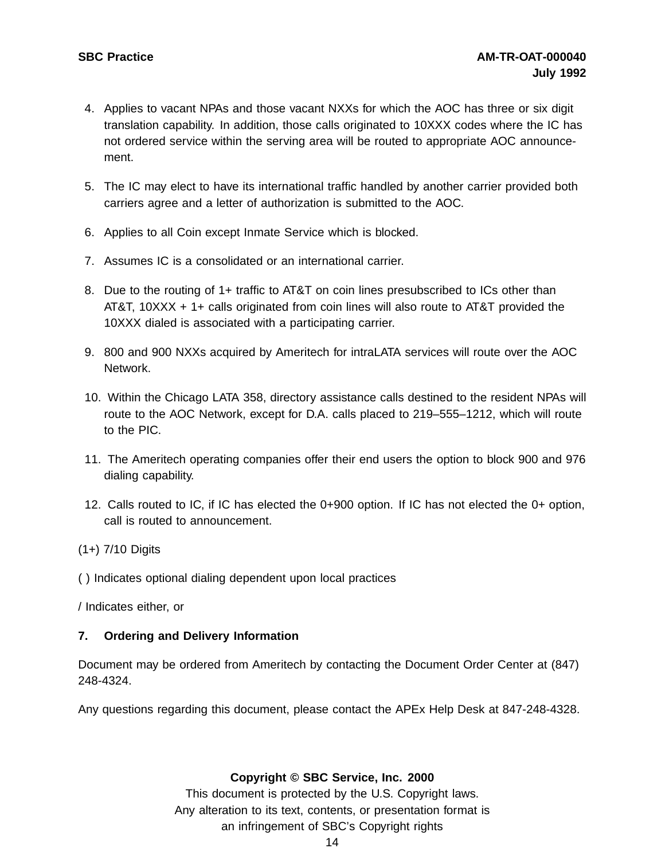- 4. Applies to vacant NPAs and those vacant NXXs for which the AOC has three or six digit translation capability. In addition, those calls originated to 10XXX codes where the IC has not ordered service within the serving area will be routed to appropriate AOC announcement.
- 5. The IC may elect to have its international traffic handled by another carrier provided both carriers agree and a letter of authorization is submitted to the AOC.
- 6. Applies to all Coin except Inmate Service which is blocked.
- 7. Assumes IC is a consolidated or an international carrier.
- 8. Due to the routing of 1+ traffic to AT&T on coin lines presubscribed to ICs other than AT&T, 10XXX + 1+ calls originated from coin lines will also route to AT&T provided the 10XXX dialed is associated with a participating carrier.
- 9. 800 and 900 NXXs acquired by Ameritech for intraLATA services will route over the AOC Network.
- 10. Within the Chicago LATA 358, directory assistance calls destined to the resident NPAs will route to the AOC Network, except for D.A. calls placed to 219–555–1212, which will route to the PIC.
- 11. The Ameritech operating companies offer their end users the option to block 900 and 976 dialing capability.
- 12. Calls routed to IC, if IC has elected the 0+900 option. If IC has not elected the 0+ option, call is routed to announcement.
- (1+) 7/10 Digits
- ( ) Indicates optional dialing dependent upon local practices

/ Indicates either, or

#### **7. Ordering and Delivery Information**

Document may be ordered from Ameritech by contacting the Document Order Center at (847) 248-4324.

Any questions regarding this document, please contact the APEx Help Desk at 847-248-4328.

**Copyright © SBC Service, Inc. 2000**